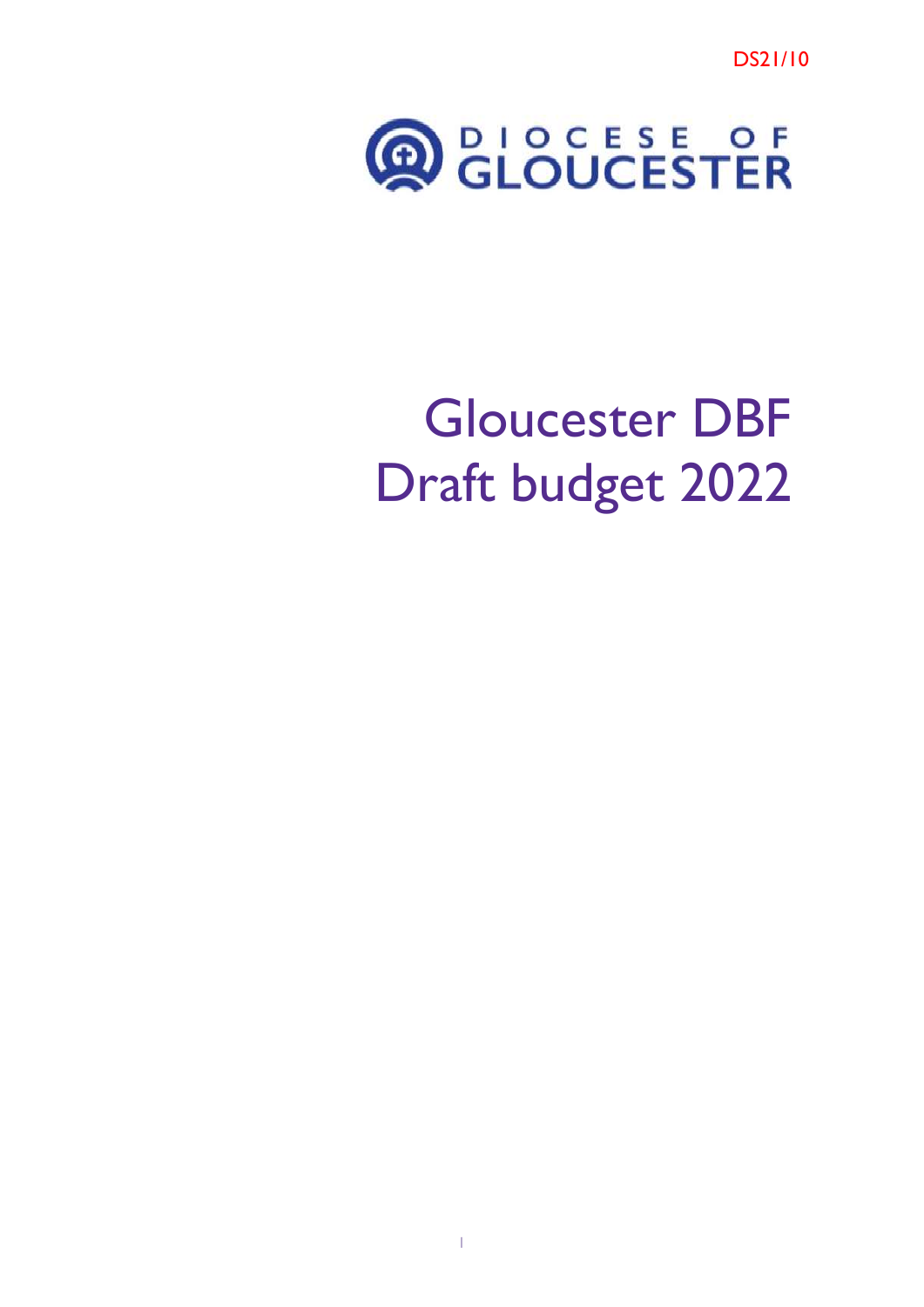DS21/10



# Gloucester DBF Draft budget 2022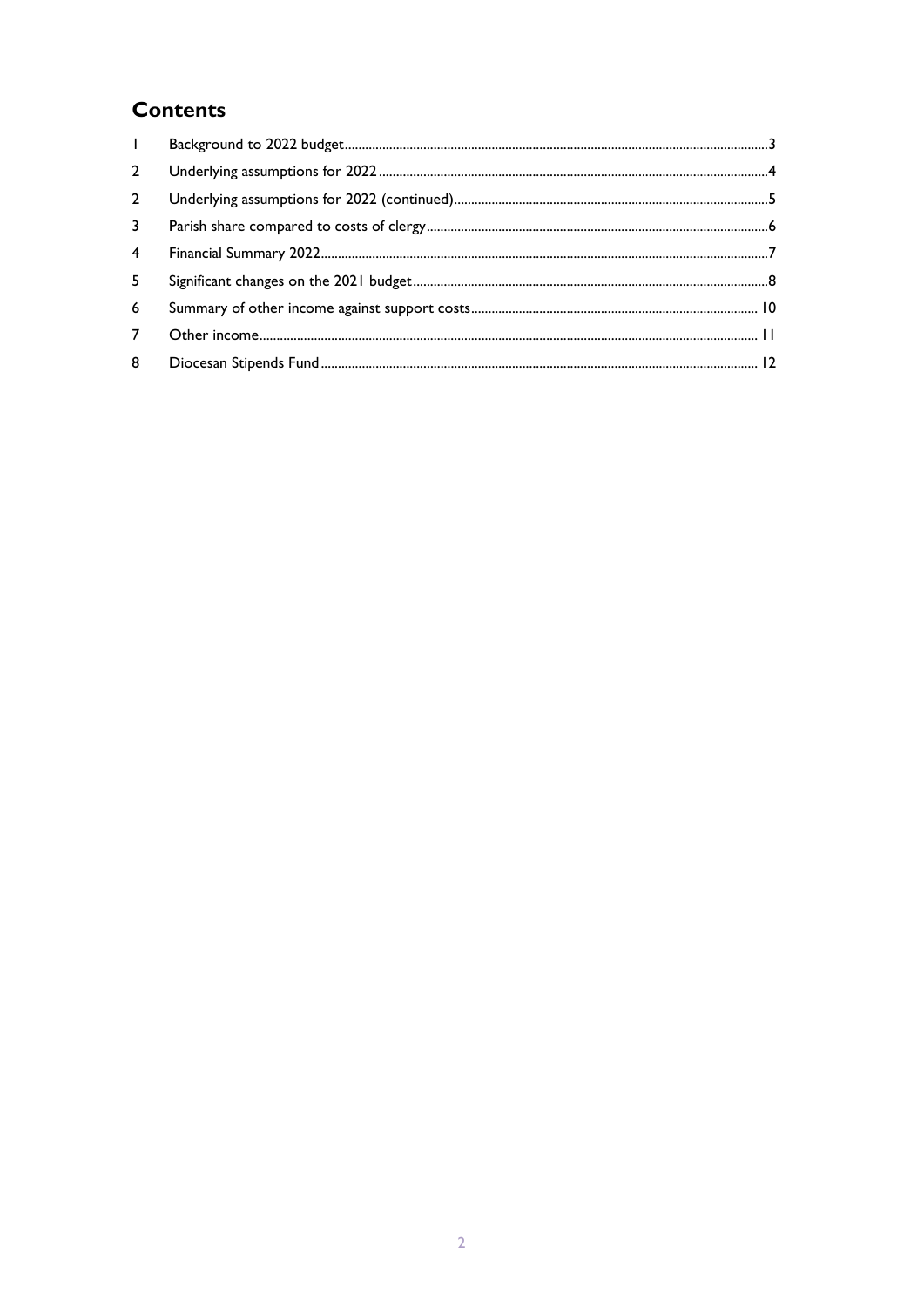### **Contents**

| $\mathbf{L}$   |  |
|----------------|--|
| $2^{\circ}$    |  |
| $\overline{2}$ |  |
| $\mathbf{3}$   |  |
| $\overline{4}$ |  |
| 5              |  |
| 6              |  |
| $7^{\circ}$    |  |
| 8              |  |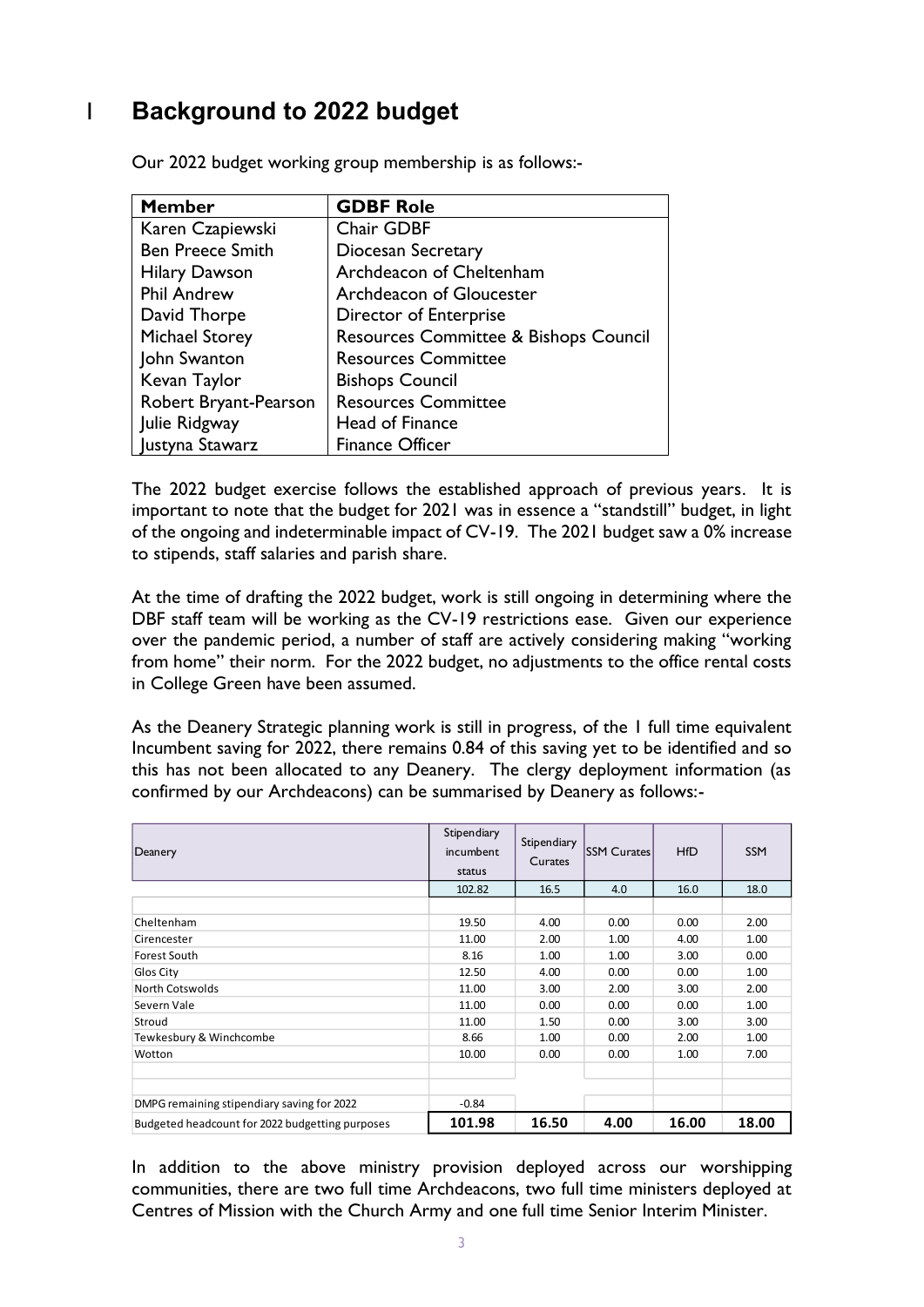## <span id="page-2-0"></span>1 **Background to 2022 budget**

| <b>Member</b>           | <b>GDBF Role</b>                      |
|-------------------------|---------------------------------------|
| Karen Czapiewski        | Chair GDBF                            |
| <b>Ben Preece Smith</b> | <b>Diocesan Secretary</b>             |
| <b>Hilary Dawson</b>    | Archdeacon of Cheltenham              |
| <b>Phil Andrew</b>      | Archdeacon of Gloucester              |
| David Thorpe            | Director of Enterprise                |
| <b>Michael Storey</b>   | Resources Committee & Bishops Council |
| John Swanton            | <b>Resources Committee</b>            |
| Kevan Taylor            | <b>Bishops Council</b>                |
| Robert Bryant-Pearson   | <b>Resources Committee</b>            |
| Julie Ridgway           | Head of Finance                       |
| Justyna Stawarz         | <b>Finance Officer</b>                |

Our 2022 budget working group membership is as follows:-

The 2022 budget exercise follows the established approach of previous years. It is important to note that the budget for 2021 was in essence a "standstill" budget, in light of the ongoing and indeterminable impact of CV-19. The 2021 budget saw a 0% increase to stipends, staff salaries and parish share.

At the time of drafting the 2022 budget, work is still ongoing in determining where the DBF staff team will be working as the CV-19 restrictions ease. Given our experience over the pandemic period, a number of staff are actively considering making "working from home" their norm. For the 2022 budget, no adjustments to the office rental costs in College Green have been assumed.

As the Deanery Strategic planning work is still in progress, of the 1 full time equivalent Incumbent saving for 2022, there remains 0.84 of this saving yet to be identified and so this has not been allocated to any Deanery. The clergy deployment information (as confirmed by our Archdeacons) can be summarised by Deanery as follows:-

| Deanery                                                                                                                                                                                                                                                    | Stipendiary<br>incumbent<br>status | Stipendiary<br>Curates | <b>SSM Curates</b> | <b>HfD</b> | <b>SSM</b> |
|------------------------------------------------------------------------------------------------------------------------------------------------------------------------------------------------------------------------------------------------------------|------------------------------------|------------------------|--------------------|------------|------------|
|                                                                                                                                                                                                                                                            | 102.82                             | 16.5                   | 4.0                | 16.0       | 18.0       |
|                                                                                                                                                                                                                                                            |                                    |                        |                    |            |            |
| Cheltenham                                                                                                                                                                                                                                                 | 19.50                              | 4.00                   | 0.00               | 0.00       | 2.00       |
| Cirencester                                                                                                                                                                                                                                                | 11.00                              | 2.00                   | 1.00               | 4.00       | 1.00       |
| <b>Forest South</b>                                                                                                                                                                                                                                        | 8.16                               | 1.00                   | 1.00               | 3.00       | 0.00       |
| Glos City                                                                                                                                                                                                                                                  | 12.50                              | 4.00                   | 0.00               | 0.00       | 1.00       |
| North Cotswolds                                                                                                                                                                                                                                            | 11.00                              | 3.00                   | 2.00               | 3.00       | 2.00       |
| Severn Vale                                                                                                                                                                                                                                                | 11.00                              | 0.00                   | 0.00               | 0.00       | 1.00       |
| Stroud                                                                                                                                                                                                                                                     | 11.00                              | 1.50                   | 0.00               | 3.00       | 3.00       |
| Tewkesbury & Winchcombe                                                                                                                                                                                                                                    | 8.66                               | 1.00                   | 0.00               | 2.00       | 1.00       |
| Wotton                                                                                                                                                                                                                                                     | 10.00                              | 0.00                   | 0.00               | 1.00       | 7.00       |
| DMPG remaining stipendiary saving for 2022                                                                                                                                                                                                                 | $-0.84$                            |                        |                    |            |            |
| Budgeted headcount for 2022 budgetting purposes                                                                                                                                                                                                            | 101.98                             | 16.50                  | 4.00               | 16.00      | 18.00      |
| In addition to the above ministry provision deployed across our worshipping<br>communities, there are two full time Archdeacons, two full time ministers deployed at<br>Centres of Mission with the Church Army and one full time Senior Interim Minister. |                                    |                        |                    |            |            |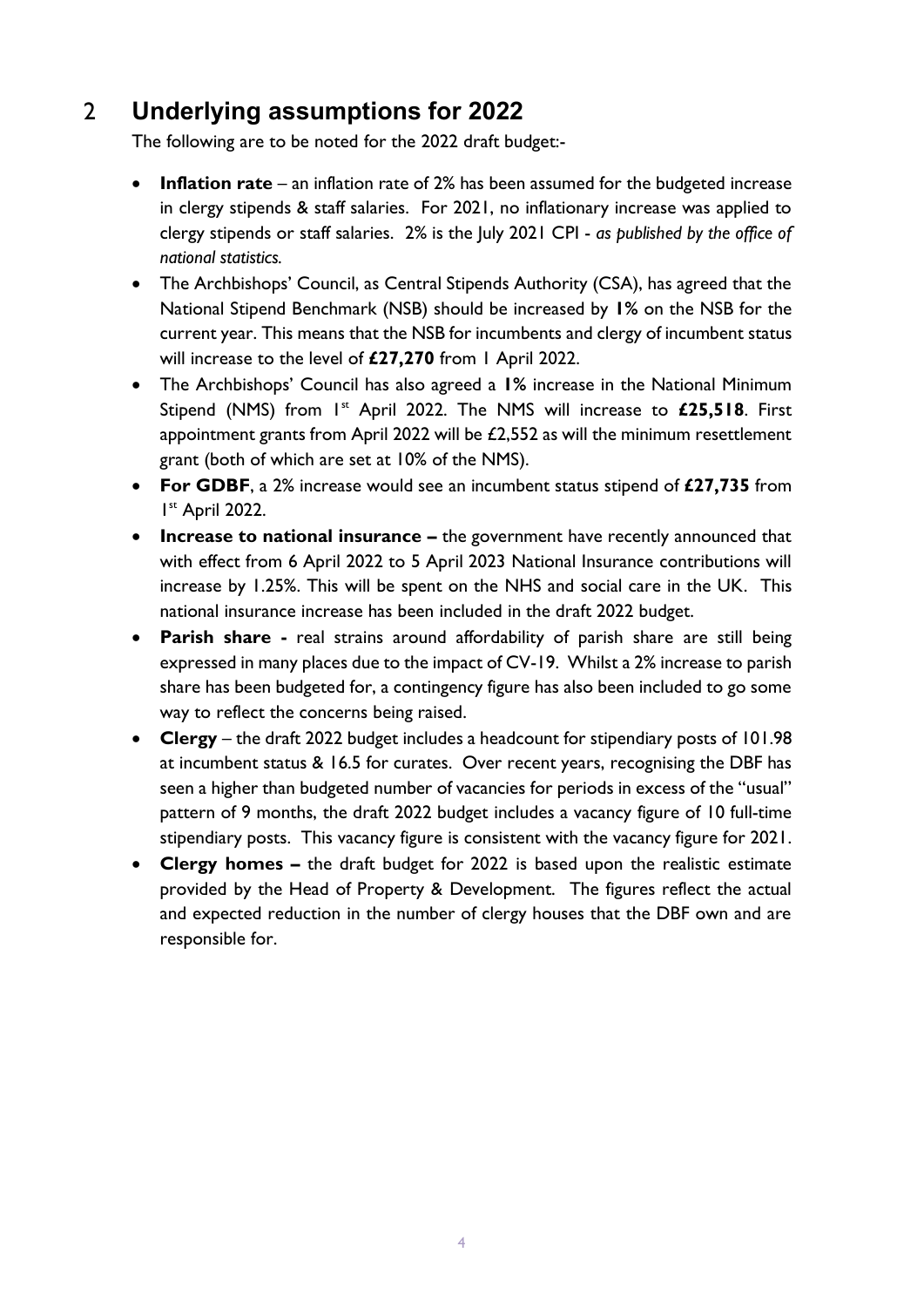## 2 **Underlying assumptions for 2022**

<span id="page-3-0"></span>The following are to be noted for the 2022 draft budget:-

- **Inflation rate** an inflation rate of 2% has been assumed for the budgeted increase in clergy stipends & staff salaries. For 2021, no inflationary increase was applied to clergy stipends or staff salaries. 2% is the July 2021 CPI - *as published by the office of national statistics.*
- The Archbishops' Council, as Central Stipends Authority (CSA), has agreed that the National Stipend Benchmark (NSB) should be increased by **1%** on the NSB for the current year. This means that the NSB for incumbents and clergy of incumbent status will increase to the level of **£27,270** from 1 April 2022.
- The Archbishops' Council has also agreed a **1%** increase in the National Minimum Stipend (NMS) from 1<sup>st</sup> April 2022. The NMS will increase to £25,518. First appointment grants from April 2022 will be £2,552 as will the minimum resettlement grant (both of which are set at 10% of the NMS).
- **For GDBF**, a 2% increase would see an incumbent status stipend of **£27,735** from 1 st April 2022.
- **Increase to national insurance** the government have recently announced that with effect from 6 April 2022 to 5 April 2023 National Insurance contributions will increase by 1.25%. This will be spent on the NHS and social care in the UK. This national insurance increase has been included in the draft 2022 budget.
- **Parish share -** real strains around affordability of parish share are still being expressed in many places due to the impact of CV-19. Whilst a 2% increase to parish share has been budgeted for, a contingency figure has also been included to go some way to reflect the concerns being raised.
- **Clergy** the draft 2022 budget includes a headcount for stipendiary posts of 101.98 at incumbent status & 16.5 for curates. Over recent years, recognising the DBF has seen a higher than budgeted number of vacancies for periods in excess of the "usual" pattern of 9 months, the draft 2022 budget includes a vacancy figure of 10 full-time stipendiary posts. This vacancy figure is consistent with the vacancy figure for 2021.
- **Clergy homes –** the draft budget for 2022 is based upon the realistic estimate provided by the Head of Property & Development. The figures reflect the actual and expected reduction in the number of clergy houses that the DBF own and are responsible for.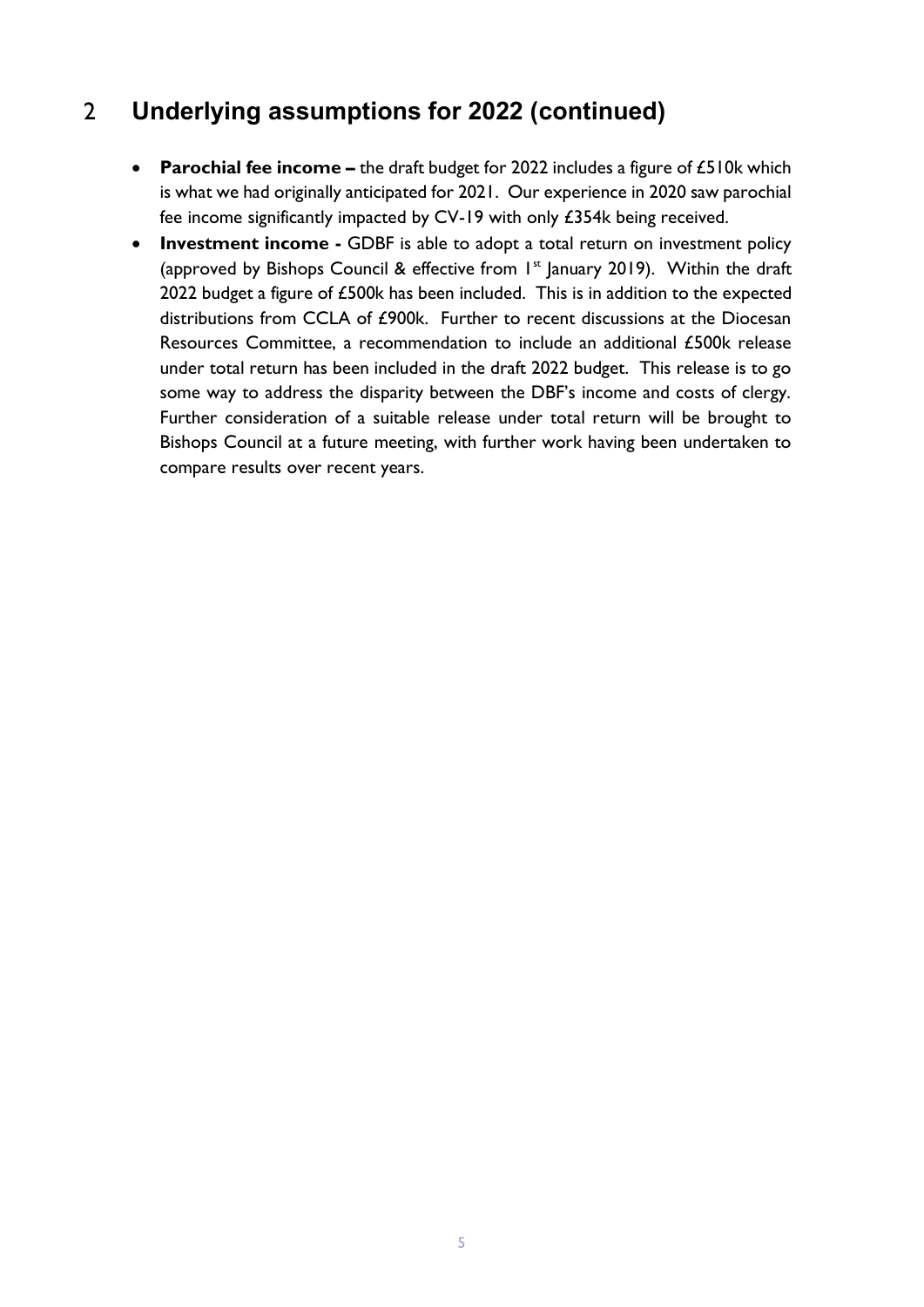## <span id="page-4-0"></span>2 **Underlying assumptions for 2022 (continued)**

- **Parochial fee income** the draft budget for 2022 includes a figure of £510k which is what we had originally anticipated for 2021. Our experience in 2020 saw parochial fee income significantly impacted by CV-19 with only £354k being received.
- **Investment income -** GDBF is able to adopt a total return on investment policy (approved by Bishops Council & effective from  $I<sup>st</sup>$  January 2019). Within the draft 2022 budget a figure of £500k has been included. This is in addition to the expected distributions from CCLA of £900k. Further to recent discussions at the Diocesan Resources Committee, a recommendation to include an additional £500k release under total return has been included in the draft 2022 budget. This release is to go some way to address the disparity between the DBF's income and costs of clergy. Further consideration of a suitable release under total return will be brought to Bishops Council at a future meeting, with further work having been undertaken to compare results over recent years.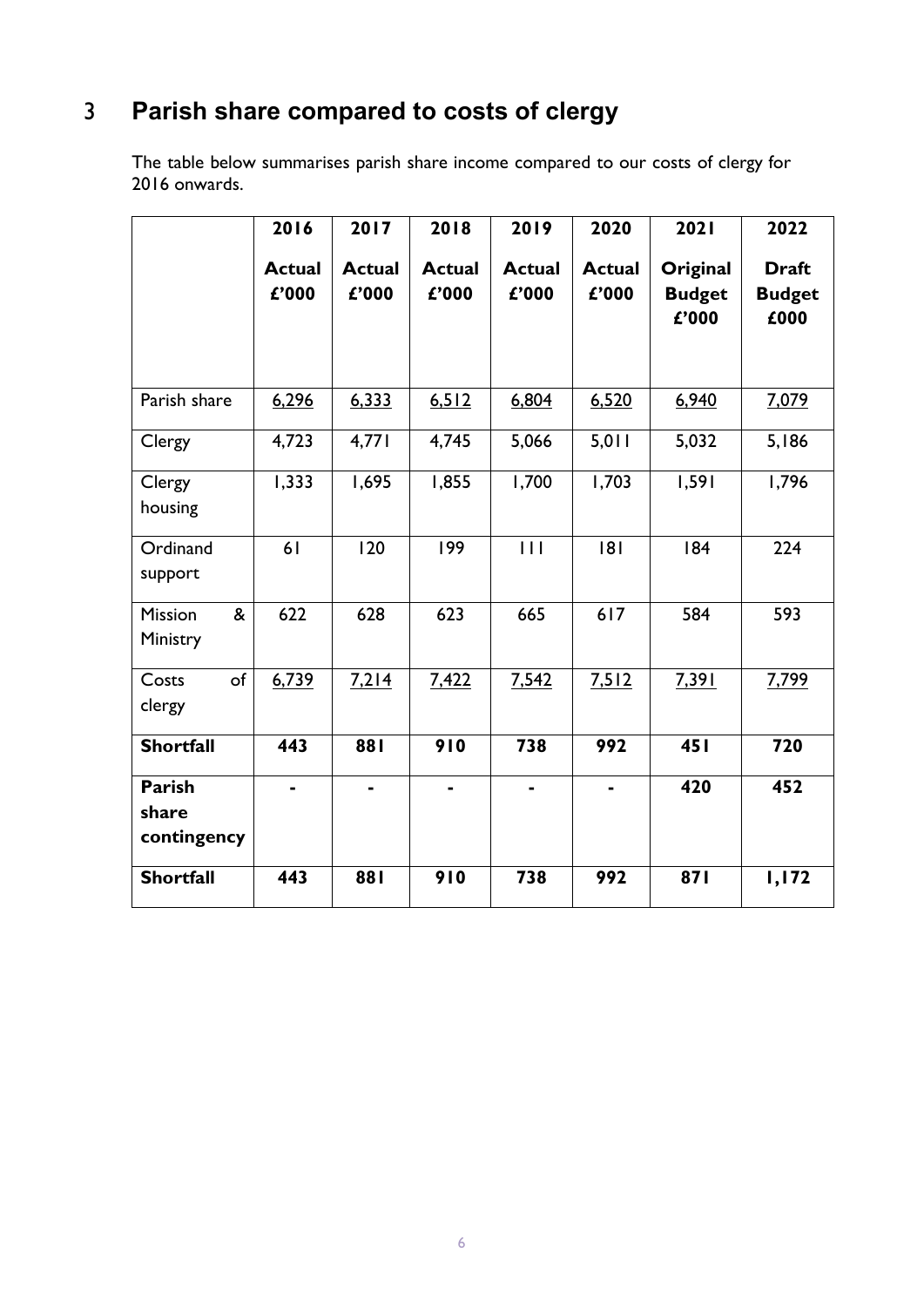## <span id="page-5-0"></span>3 **Parish share compared to costs of clergy**

The table below summarises parish share income compared to our costs of clergy for 2016 onwards.

|                                       | 2016                   | 2017                   | 2018                   | 2019                   | 2020                   | 2021                               | 2022                                  |
|---------------------------------------|------------------------|------------------------|------------------------|------------------------|------------------------|------------------------------------|---------------------------------------|
|                                       | <b>Actual</b><br>£'000 | <b>Actual</b><br>£'000 | <b>Actual</b><br>£'000 | <b>Actual</b><br>£'000 | <b>Actual</b><br>£'000 | Original<br><b>Budget</b><br>£'000 | <b>Draft</b><br><b>Budget</b><br>£000 |
| Parish share                          | 6,296                  | 6,333                  | 6,512                  | 6,804                  | 6,520                  | 6,940                              | 7,079                                 |
| Clergy                                | 4,723                  | 4,771                  | 4,745                  | 5,066                  | 5,011                  | 5,032                              | 5,186                                 |
| Clergy<br>housing                     | 1,333                  | 1,695                  | 1,855                  | 1,700                  | 1,703                  | 1,591                              | 1,796                                 |
| Ordinand<br>support                   | 61                     | 120                    | 199                    | 111                    | 8                      | 184                                | 224                                   |
| &<br><b>Mission</b><br>Ministry       | 622                    | 628                    | 623                    | 665                    | 617                    | 584                                | 593                                   |
| of<br>Costs<br>clergy                 | 6,739                  | 7,214                  | 7,422                  | 7,542                  | 7,512                  | 7,391                              | 7,799                                 |
| <b>Shortfall</b>                      | 443                    | <b>881</b>             | 910                    | 738                    | 992                    | 45 I                               | 720                                   |
| <b>Parish</b><br>share<br>contingency |                        |                        |                        |                        |                        | 420                                | 452                                   |
| <b>Shortfall</b>                      | 443                    | 881                    | 910                    | 738                    | 992                    | 871                                | I, 172                                |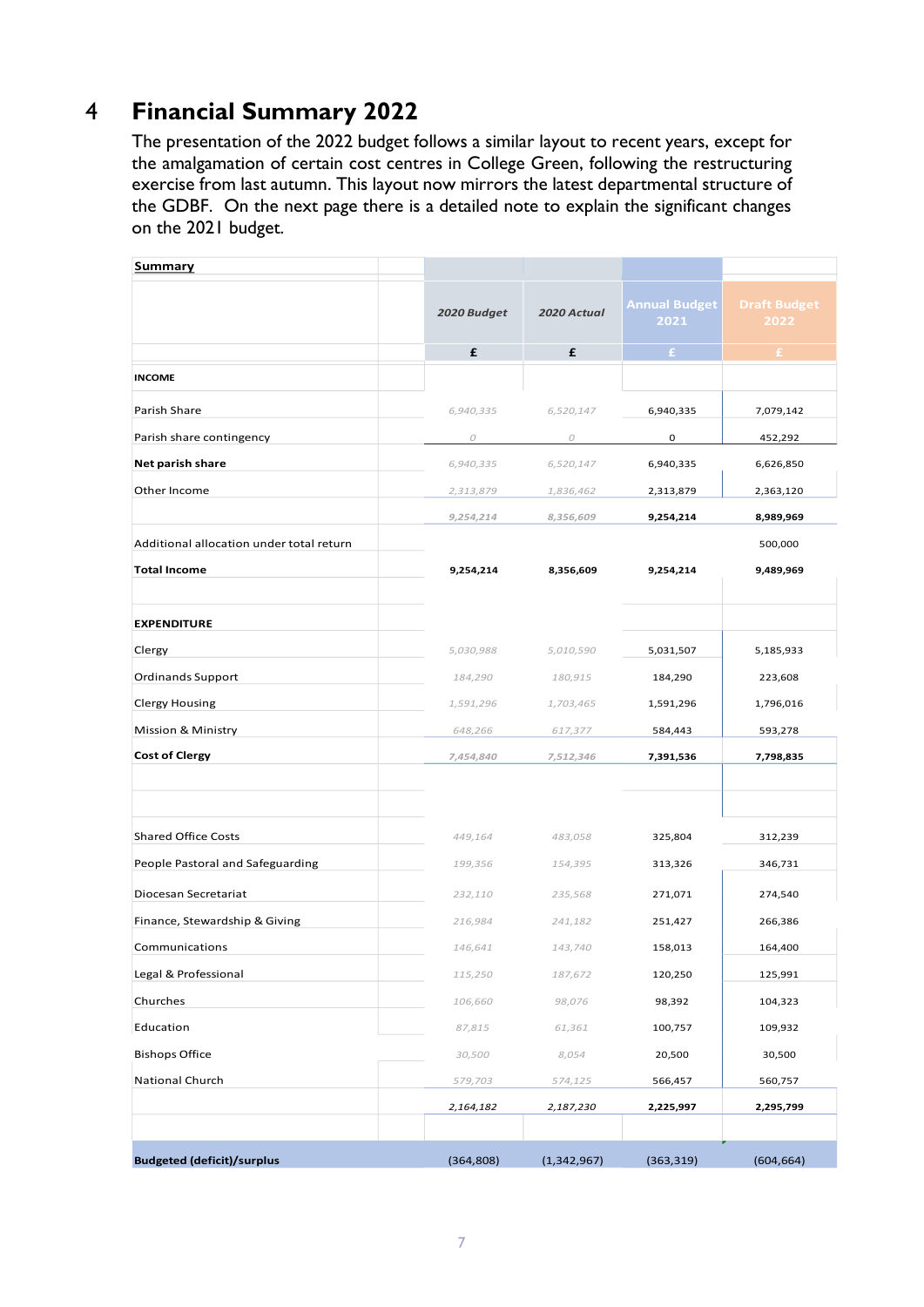## 4 **Financial Summary 2022**

<span id="page-6-0"></span>The presentation of the 2022 budget follows a similar layout to recent years, except for the amalgamation of certain cost centres in College Green, following the restructuring exercise from last autumn. This layout now mirrors the latest departmental structure of the GDBF. On the next page there is a detailed note to explain the significant changes on the 2021 budget.

| <b>Summary</b>                           |             |             |                              |                             |
|------------------------------------------|-------------|-------------|------------------------------|-----------------------------|
|                                          | 2020 Budget | 2020 Actual | <b>Annual Budget</b><br>2021 | <b>Draft Budget</b><br>2022 |
|                                          | £           | £           | £.                           | £                           |
| <b>INCOME</b>                            |             |             |                              |                             |
| Parish Share                             | 6,940,335   | 6,520,147   | 6,940,335                    | 7,079,142                   |
| Parish share contingency                 | 0           | ${\cal O}$  | 0                            | 452,292                     |
| Net parish share                         | 6,940,335   | 6,520,147   | 6,940,335                    | 6,626,850                   |
| Other Income                             | 2,313,879   | 1,836,462   | 2,313,879                    | 2,363,120                   |
|                                          | 9,254,214   | 8,356,609   | 9,254,214                    | 8,989,969                   |
| Additional allocation under total return |             |             |                              | 500,000                     |
| <b>Total Income</b>                      | 9,254,214   | 8,356,609   | 9,254,214                    | 9,489,969                   |
| <b>EXPENDITURE</b>                       |             |             |                              |                             |
| Clergy                                   | 5,030,988   | 5,010,590   | 5,031,507                    | 5,185,933                   |
| <b>Ordinands Support</b>                 | 184,290     | 180,915     | 184,290                      | 223,608                     |
| <b>Clergy Housing</b>                    | 1,591,296   | 1,703,465   | 1,591,296                    | 1,796,016                   |
| Mission & Ministry                       | 648,266     | 617,377     | 584,443                      | 593,278                     |
| <b>Cost of Clergy</b>                    | 7,454,840   | 7,512,346   | 7,391,536                    | 7,798,835                   |
|                                          |             |             |                              |                             |
|                                          |             |             |                              |                             |
| <b>Shared Office Costs</b>               | 449,164     | 483,058     | 325,804                      | 312,239                     |
| People Pastoral and Safeguarding         | 199,356     | 154,395     | 313,326                      | 346,731                     |
| Diocesan Secretariat                     | 232,110     | 235,568     | 271,071                      | 274,540                     |
| Finance, Stewardship & Giving            | 216,984     | 241,182     | 251,427                      | 266,386                     |
| Communications                           | 146,641     | 143,740     | 158,013                      | 164,400                     |
| Legal & Professional                     | 115,250     | 187,672     | 120,250                      | 125,991                     |
| Churches                                 | 106,660     | 98,076      | 98,392                       | 104,323                     |
| Education                                | 87,815      | 61,361      | 100,757                      | 109,932                     |
| <b>Bishops Office</b>                    | 30,500      | 8,054       | 20,500                       | 30,500                      |
| <b>National Church</b>                   | 579,703     | 574,125     | 566,457                      | 560,757                     |
|                                          | 2,164,182   | 2,187,230   | 2,225,997                    | 2,295,799                   |
|                                          |             |             |                              |                             |
| <b>Budgeted (deficit)/surplus</b>        | (364, 808)  | (1,342,967) | (363, 319)                   | (604, 664)                  |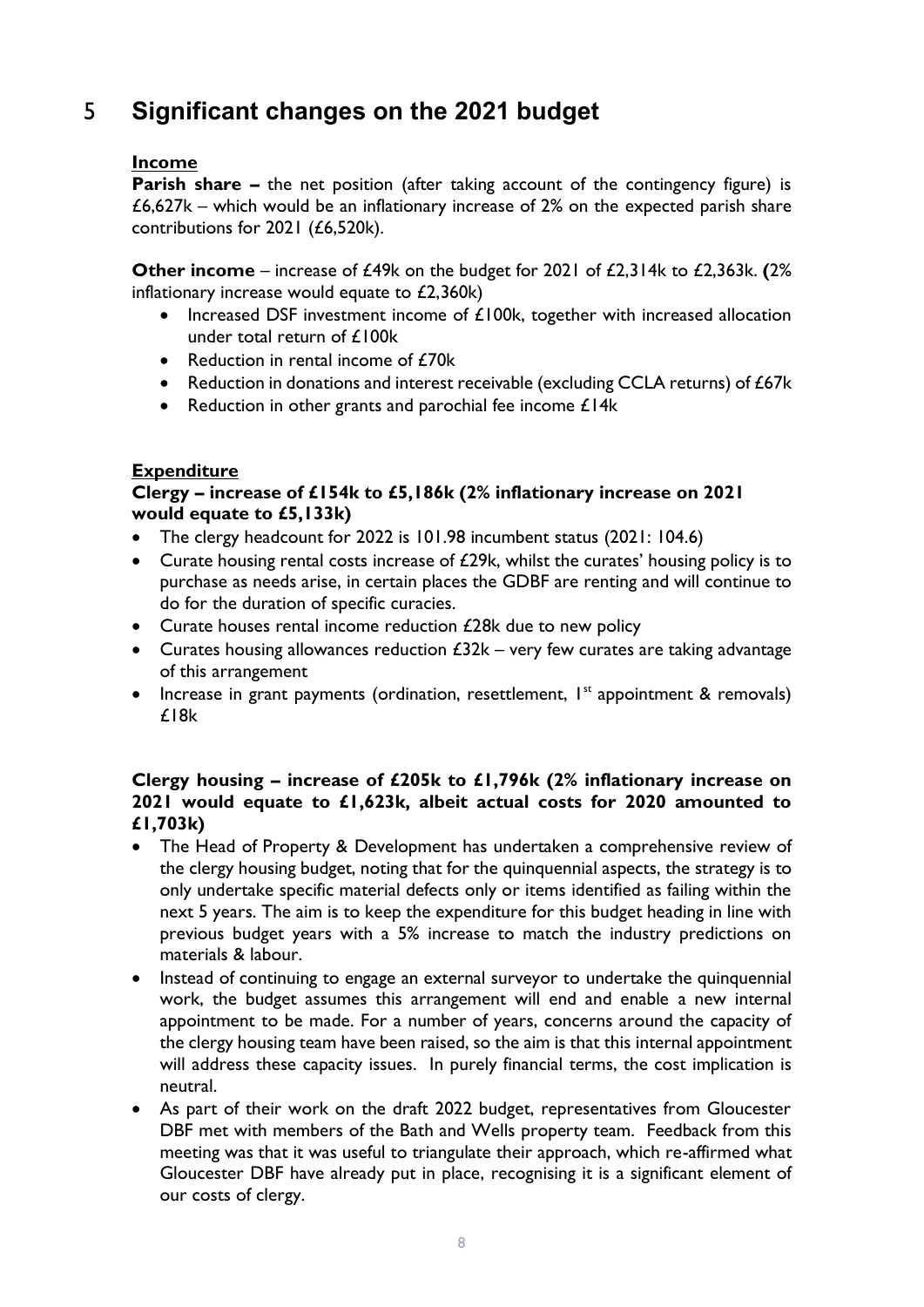## <span id="page-7-0"></span>5 **Significant changes on the 2021 budget**

#### **Income**

**Parish share –** the net position (after taking account of the contingency figure) is  $£6,627k$  – which would be an inflationary increase of 2% on the expected parish share contributions for 2021 (£6,520k).

**Other income** – increase of £49k on the budget for 2021 of £2,314k to £2,363k. **(**2% inflationary increase would equate to £2,360k)

- Increased DSF investment income of £100k, together with increased allocation under total return of £100k
- Reduction in rental income of £70k
- Reduction in donations and interest receivable (excluding CCLA returns) of £67k
- Reduction in other grants and parochial fee income £14k

#### **Expenditure**

#### **Clergy – increase of £154k to £5,186k (2% inflationary increase on 2021 would equate to £5,133k)**

- The clergy headcount for 2022 is 101.98 incumbent status (2021: 104.6)
- Curate housing rental costs increase of £29k, whilst the curates' housing policy is to purchase as needs arise, in certain places the GDBF are renting and will continue to do for the duration of specific curacies.
- Curate houses rental income reduction £28k due to new policy
- Curates housing allowances reduction  $£32k -$  very few curates are taking advantage of this arrangement
- Increase in grant payments (ordination, resettlement,  $I^{st}$  appointment & removals) £18k

#### **Clergy housing – increase of £205k to £1,796k (2% inflationary increase on 2021 would equate to £1,623k, albeit actual costs for 2020 amounted to £1,703k)**

- The Head of Property & Development has undertaken a comprehensive review of the clergy housing budget, noting that for the quinquennial aspects, the strategy is to only undertake specific material defects only or items identified as failing within the next 5 years. The aim is to keep the expenditure for this budget heading in line with previous budget years with a 5% increase to match the industry predictions on materials & labour.
- Instead of continuing to engage an external surveyor to undertake the quinquennial work, the budget assumes this arrangement will end and enable a new internal appointment to be made. For a number of years, concerns around the capacity of the clergy housing team have been raised, so the aim is that this internal appointment will address these capacity issues. In purely financial terms, the cost implication is neutral.
- As part of their work on the draft 2022 budget, representatives from Gloucester DBF met with members of the Bath and Wells property team. Feedback from this meeting was that it was useful to triangulate their approach, which re-affirmed what Gloucester DBF have already put in place, recognising it is a significant element of our costs of clergy.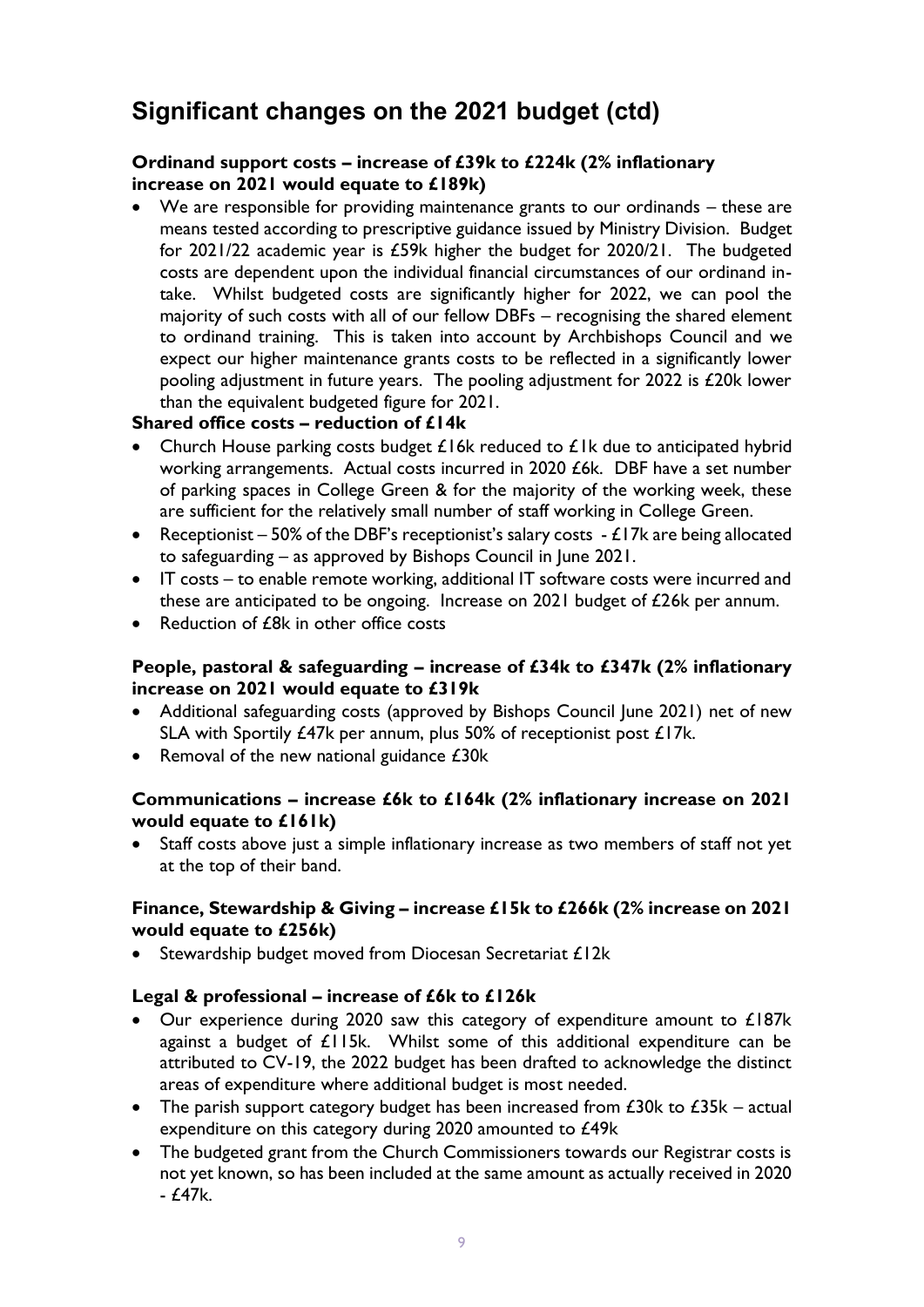## **Significant changes on the 2021 budget (ctd)**

#### **Ordinand support costs – increase of £39k to £224k (2% inflationary increase on 2021 would equate to £189k)**

• We are responsible for providing maintenance grants to our ordinands – these are means tested according to prescriptive guidance issued by Ministry Division. Budget for 2021/22 academic year is £59k higher the budget for 2020/21. The budgeted costs are dependent upon the individual financial circumstances of our ordinand intake. Whilst budgeted costs are significantly higher for 2022, we can pool the majority of such costs with all of our fellow DBFs – recognising the shared element to ordinand training. This is taken into account by Archbishops Council and we expect our higher maintenance grants costs to be reflected in a significantly lower pooling adjustment in future years. The pooling adjustment for 2022 is £20k lower than the equivalent budgeted figure for 2021.

#### **Shared office costs – reduction of £14k**

- Church House parking costs budget  $£16k$  reduced to  $£1k$  due to anticipated hybrid working arrangements. Actual costs incurred in 2020 £6k. DBF have a set number of parking spaces in College Green & for the majority of the working week, these are sufficient for the relatively small number of staff working in College Green.
- Receptionist 50% of the DBF's receptionist's salary costs  $-E17k$  are being allocated to safeguarding – as approved by Bishops Council in June 2021.
- IT costs to enable remote working, additional IT software costs were incurred and these are anticipated to be ongoing. Increase on 2021 budget of £26k per annum.
- Reduction of £8k in other office costs

#### **People, pastoral & safeguarding – increase of £34k to £347k (2% inflationary increase on 2021 would equate to £319k**

- Additional safeguarding costs (approved by Bishops Council June 2021) net of new SLA with Sportily £47k per annum, plus 50% of receptionist post £17k.
- Removal of the new national guidance £30k

#### **Communications – increase £6k to £164k (2% inflationary increase on 2021 would equate to £161k)**

• Staff costs above just a simple inflationary increase as two members of staff not yet at the top of their band.

#### **Finance, Stewardship & Giving – increase £15k to £266k (2% increase on 2021 would equate to £256k)**

Stewardship budget moved from Diocesan Secretariat £12k

#### **Legal & professional – increase of £6k to £126k**

- Our experience during 2020 saw this category of expenditure amount to £187k against a budget of £115k. Whilst some of this additional expenditure can be attributed to CV-19, the 2022 budget has been drafted to acknowledge the distinct areas of expenditure where additional budget is most needed.
- The parish support category budget has been increased from  $E30k$  to  $E35k$  actual expenditure on this category during 2020 amounted to £49k
- The budgeted grant from the Church Commissioners towards our Registrar costs is not yet known, so has been included at the same amount as actually received in 2020  $- f47k.$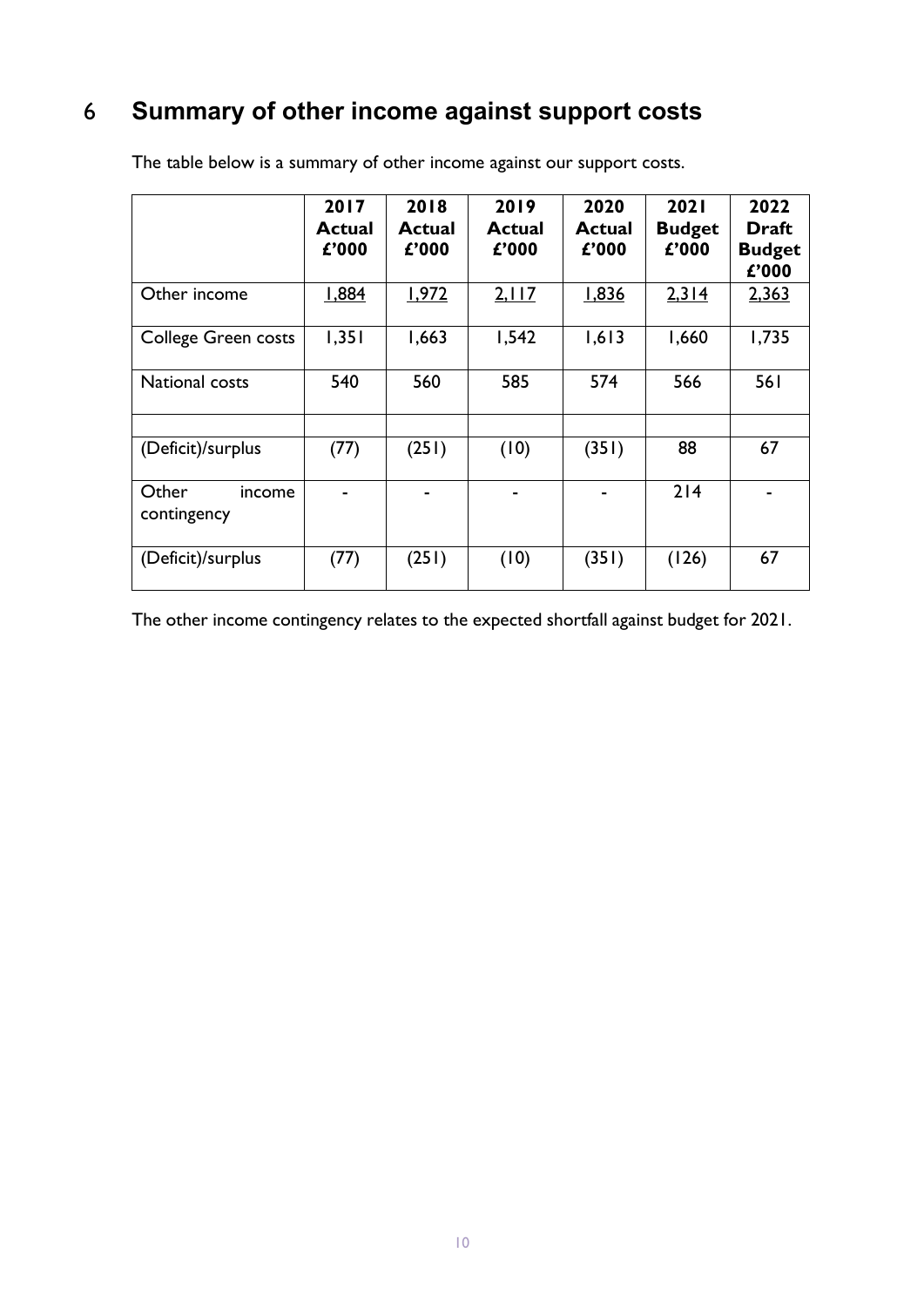## <span id="page-9-0"></span>6 **Summary of other income against support costs**

|                                | 2017<br>Actual<br>£'000 | 2018<br><b>Actual</b><br>£'000 | 2019<br><b>Actual</b><br>£'000 | 2020<br>Actual<br>£'000 | 2021<br><b>Budget</b><br>£'000 | 2022<br><b>Draft</b><br><b>Budget</b><br>£'000 |
|--------------------------------|-------------------------|--------------------------------|--------------------------------|-------------------------|--------------------------------|------------------------------------------------|
| Other income                   | 1,884                   | 1,972                          | 2,117                          | 1,836                   | 2,314                          | 2,363                                          |
| <b>College Green costs</b>     | 1,351                   | 1,663                          | 1,542                          | 1,613                   | 1,660                          | 1,735                                          |
| National costs                 | 540                     | 560                            | 585                            | 574                     | 566                            | 561                                            |
| (Deficit)/surplus              | (77)                    | (251)                          | (10)                           | (351)                   | 88                             | 67                                             |
| Other<br>income<br>contingency |                         |                                | -                              |                         | 214                            |                                                |
| (Deficit)/surplus              | (77)                    | (251)                          | (10)                           | (351)                   | (126)                          | 67                                             |

The table below is a summary of other income against our support costs.

The other income contingency relates to the expected shortfall against budget for 2021.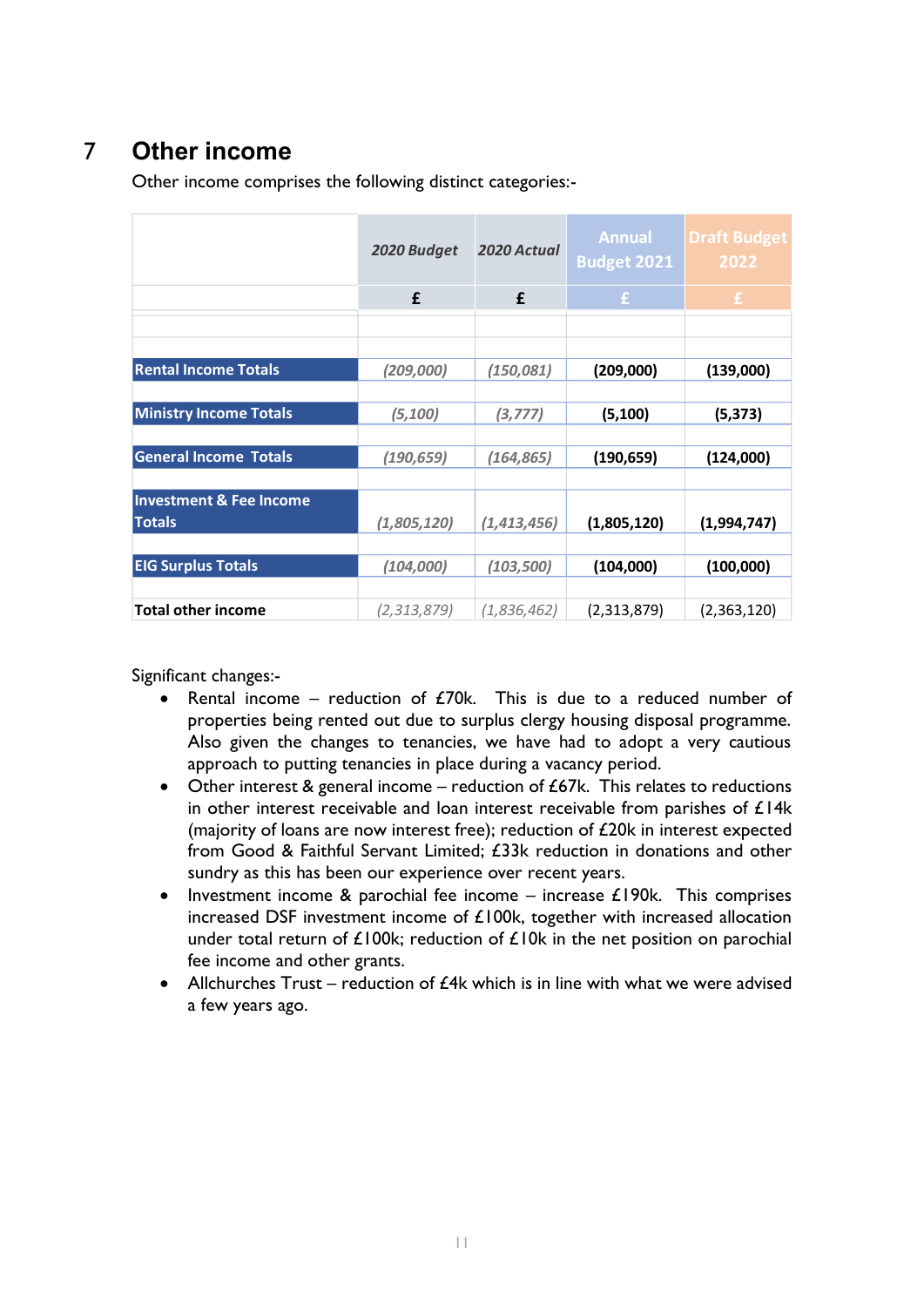## <span id="page-10-0"></span>7 **Other income**

Other income comprises the following distinct categories:-

|                                    | 2020 Budget | 2020 Actual   | <b>Annual</b><br><b>Budget 2021</b> | <b>Draft Budget</b><br>2022 |
|------------------------------------|-------------|---------------|-------------------------------------|-----------------------------|
|                                    | £           | £             | £.                                  | $\mathbf{f}$                |
|                                    |             |               |                                     |                             |
|                                    |             |               |                                     |                             |
| <b>Rental Income Totals</b>        | (209,000)   | (150, 081)    | (209,000)                           | (139,000)                   |
|                                    |             |               |                                     |                             |
| <b>Ministry Income Totals</b>      | (5,100)     | (3, 777)      | (5, 100)                            | (5, 373)                    |
|                                    |             |               |                                     |                             |
| <b>General Income Totals</b>       | (190, 659)  | (164, 865)    | (190, 659)                          | (124,000)                   |
|                                    |             |               |                                     |                             |
| <b>Investment &amp; Fee Income</b> |             |               |                                     |                             |
| <b>Totals</b>                      | (1,805,120) | (1, 413, 456) | (1,805,120)                         | (1,994,747)                 |
|                                    |             |               |                                     |                             |
| <b>EIG Surplus Totals</b>          | (104,000)   | (103, 500)    | (104,000)                           | (100,000)                   |
|                                    |             |               |                                     |                             |
| <b>Total other income</b>          | (2,313,879) | (1,836,462)   | (2,313,879)                         | (2,363,120)                 |

Significant changes:-

- Rental income reduction of  $E70k$ . This is due to a reduced number of properties being rented out due to surplus clergy housing disposal programme. Also given the changes to tenancies, we have had to adopt a very cautious approach to putting tenancies in place during a vacancy period.
- Other interest & general income reduction of  $£67k$ . This relates to reductions in other interest receivable and loan interest receivable from parishes of  $£14k$ (majority of loans are now interest free); reduction of £20k in interest expected from Good & Faithful Servant Limited; £33k reduction in donations and other sundry as this has been our experience over recent years.
- Investment income & parochial fee income increase  $£190k$ . This comprises increased DSF investment income of £100k, together with increased allocation under total return of  $£100k$ ; reduction of  $£10k$  in the net position on parochial fee income and other grants.
- Allchurches Trust reduction of  $E4k$  which is in line with what we were advised a few years ago.